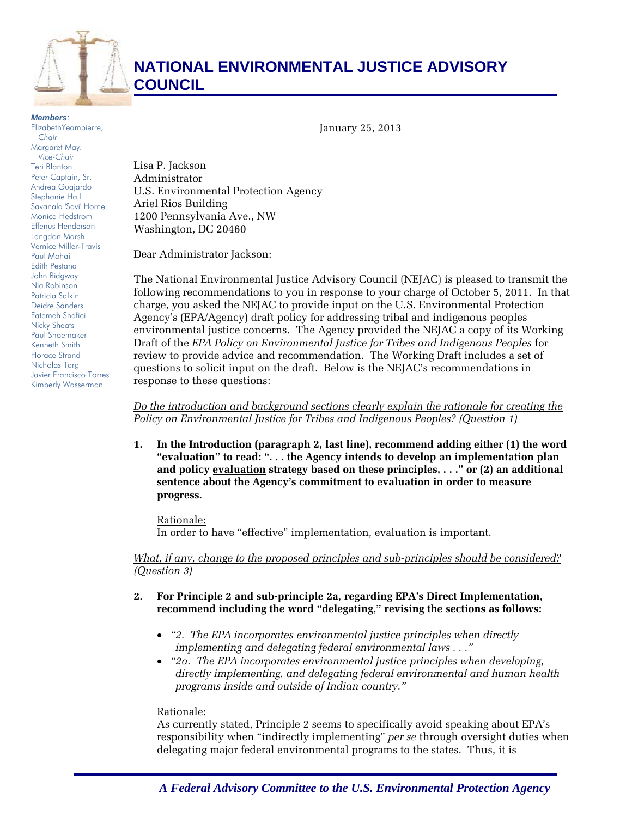

# **NATIONAL ENVIRONMENTAL JUSTICE ADVISORY COUNCIL**

#### *Members:*

ElizabethYeampierre, *Chair*  Margaret May. *Vice-Chair*  Teri Blanton Peter Captain, Sr. Andrea Guajardo Stephanie Hall Savanala 'Savi' Horne Monica Hedstrom Effenus Henderson Langdon Marsh Vernice Miller-Travis Paul Mohai Edith Pestana John Ridgway Nia Robinson Patricia Salkin Deidre Sanders Fatemeh Shafiei Nicky Sheats Paul Shoemaker Kenneth Smith Horace Strand Nicholas Targ Javier Francisco Torres Kimberly Wasserman

Lisa P. Jackson Administrator U.S. Environmental Protection Agency Ariel Rios Building 1200 Pennsylvania Ave., NW Washington, DC 20460

Dear Administrator Jackson:

The National Environmental Justice Advisory Council (NEJAC) is pleased to transmit the following recommendations to you in response to your charge of October 5, 2011. In that charge, you asked the NEJAC to provide input on the U.S. Environmental Protection Agency's (EPA/Agency) draft policy for addressing tribal and indigenous peoples environmental justice concerns. The Agency provided the NEJAC a copy of its Working Draft of the *EPA Policy on Environmental Justice for Tribes and Indigenous Peoples* for review to provide advice and recommendation. The Working Draft includes a set of questions to solicit input on the draft. Below is the NEJAC's recommendations in response to these questions:

January 25, 2013

*Do the introduction and background sections clearly explain the rationale for creating the Policy on Environmental Justice for Tribes and Indigenous Peoples? (Question 1)* 

**1. In the Introduction (paragraph 2, last line), recommend adding either (1) the word "evaluation" to read: ". . . the Agency intends to develop an implementation plan and policy evaluation strategy based on these principles, . . ." or (2) an additional sentence about the Agency's commitment to evaluation in order to measure progress.** 

Rationale:

In order to have "effective" implementation, evaluation is important.

## *What, if any, change to the proposed principles and sub-principles should be considered? (Question 3)*

- **2. For Principle 2 and sub-principle 2a, regarding EPA's Direct Implementation, recommend including the word "delegating," revising the sections as follows:** 
	- *"2. The EPA incorporates environmental justice principles when directly implementing and delegating federal environmental laws . . ."*
	- *"2a. The EPA incorporates environmental justice principles when developing, directly implementing, and delegating federal environmental and human health programs inside and outside of Indian country."*

Rationale:

As currently stated, Principle 2 seems to specifically avoid speaking about EPA's responsibility when "indirectly implementing" *per se* through oversight duties when delegating major federal environmental programs to the states. Thus, it is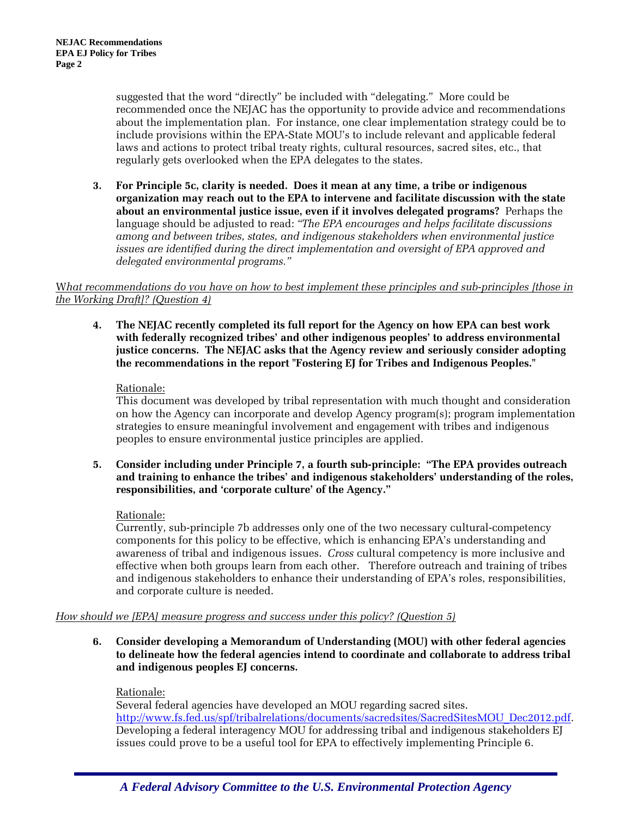suggested that the word "directly" be included with "delegating." More could be recommended once the NEJAC has the opportunity to provide advice and recommendations about the implementation plan. For instance, one clear implementation strategy could be to include provisions within the EPA-State MOU's to include relevant and applicable federal laws and actions to protect tribal treaty rights, cultural resources, sacred sites, etc., that regularly gets overlooked when the EPA delegates to the states.

**3. For Principle 5c, clarity is needed. Does it mean at any time, a tribe or indigenous organization may reach out to the EPA to intervene and facilitate discussion with the state about an environmental justice issue, even if it involves delegated programs?** Perhaps the language should be adjusted to read: *"The EPA encourages and helps facilitate discussions among and between tribes, states, and indigenous stakeholders when environmental justice issues are identified during the direct implementation and oversight of EPA approved and delegated environmental programs."* 

#### W*hat recommendations do you have on how to best implement these principles and sub-principles [those in the Working Draft]? (Question 4)*

**4. The NEJAC recently completed its full report for the Agency on how EPA can best work with federally recognized tribes' and other indigenous peoples' to address environmental justice concerns. The NEJAC asks that the Agency review and seriously consider adopting the recommendations in the report "Fostering EJ for Tribes and Indigenous Peoples."** 

## Rationale:

This document was developed by tribal representation with much thought and consideration on how the Agency can incorporate and develop Agency program(s); program implementation strategies to ensure meaningful involvement and engagement with tribes and indigenous peoples to ensure environmental justice principles are applied.

**5. Consider including under Principle 7, a fourth sub-principle: "The EPA provides outreach and training to enhance the tribes' and indigenous stakeholders' understanding of the roles, responsibilities, and 'corporate culture' of the Agency."** 

# Rationale:

Currently, sub-principle 7b addresses only one of the two necessary cultural-competency components for this policy to be effective, which is enhancing EPA's understanding and awareness of tribal and indigenous issues. *Cross* cultural competency is more inclusive and effective when both groups learn from each other. Therefore outreach and training of tribes and indigenous stakeholders to enhance their understanding of EPA's roles, responsibilities, and corporate culture is needed.

# *How should we [EPA] measure progress and success under this policy? (Question 5)*

**6. Consider developing a Memorandum of Understanding (MOU) with other federal agencies to delineate how the federal agencies intend to coordinate and collaborate to address tribal and indigenous peoples EJ concerns.** 

# Rationale:

Several federal agencies have developed an MOU regarding sacred sites. http://www.fs.fed.us/spf/tribalrelations/documents/sacredsites/SacredSitesMOU\_Dec2012.pdf. Developing a federal interagency MOU for addressing tribal and indigenous stakeholders EJ issues could prove to be a useful tool for EPA to effectively implementing Principle 6.